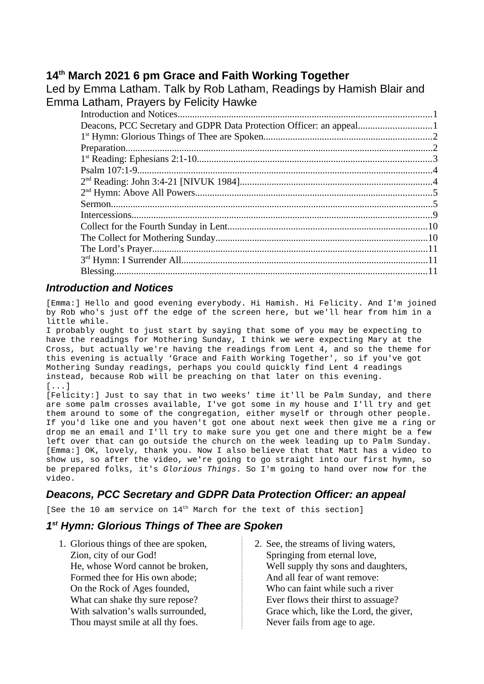## **14th March 2021 6 pm Grace and Faith Working Together**

Led by Emma Latham. Talk by Rob Latham, Readings by Hamish Blair and Emma Latham, Prayers by Felicity Hawke

## <span id="page-0-2"></span>*Introduction and Notices*

[Emma:] Hello and good evening everybody. Hi Hamish. Hi Felicity. And I'm joined by Rob who's just off the edge of the screen here, but we'll hear from him in a little while.

I probably ought to just start by saying that some of you may be expecting to have the readings for Mothering Sunday, I think we were expecting Mary at the Cross, but actually we're having the readings from Lent 4, and so the theme for this evening is actually 'Grace and Faith Working Together', so if you've got Mothering Sunday readings, perhaps you could quickly find Lent 4 readings instead, because Rob will be preaching on that later on this evening. [...]

[Felicity:] Just to say that in two weeks' time it'll be Palm Sunday, and there are some palm crosses available, I've got some in my house and I'll try and get them around to some of the congregation, either myself or through other people. If you'd like one and you haven't got one about next week then give me a ring or drop me an email and I'll try to make sure you get one and there might be a few left over that can go outside the church on the week leading up to Palm Sunday. [Emma:] OK, lovely, thank you. Now I also believe that that Matt has a video to show us, so after the video, we're going to go straight into our first hymn, so be prepared folks, it's *Glorious Things*. So I'm going to hand over now for the video.

## <span id="page-0-1"></span>*Deacons, PCC Secretary and GDPR Data Protection Officer: an appeal*

[See the 10 am service on 14<sup>th</sup> March for the text of this section]

## <span id="page-0-0"></span>*1 st Hymn: Glorious Things of Thee are Spoken*

- 1. Glorious things of thee are spoken, Zion, city of our God! He, whose Word cannot be broken, Formed thee for His own abode; On the Rock of Ages founded, What can shake thy sure repose? With salvation's walls surrounded, Thou mayst smile at all thy foes.
- 2. See, the streams of living waters, Springing from eternal love, Well supply thy sons and daughters, And all fear of want remove: Who can faint while such a river Ever flows their thirst to assuage? Grace which, like the Lord, the giver, Never fails from age to age.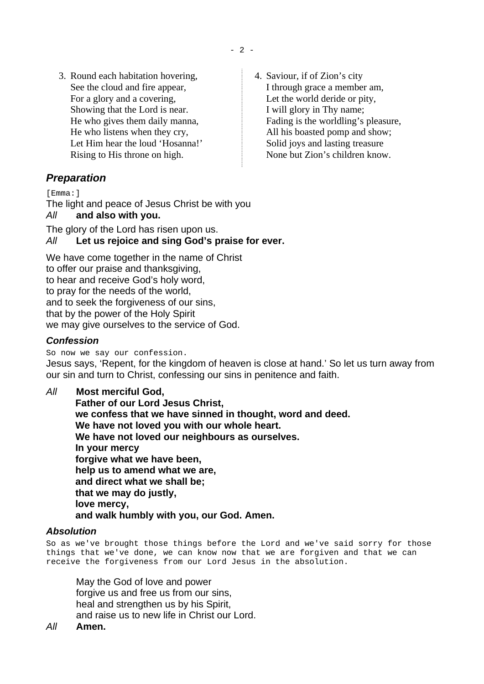- 3. Round each habitation hovering, See the cloud and fire appear, For a glory and a covering, Showing that the Lord is near. He who gives them daily manna, He who listens when they cry, Let Him hear the loud 'Hosanna!' Rising to His throne on high.
- 4. Saviour, if of Zion's city I through grace a member am, Let the world deride or pity, I will glory in Thy name; Fading is the worldling's pleasure, All his boasted pomp and show; Solid joys and lasting treasure None but Zion's children know.

## <span id="page-1-0"></span>*Preparation*

[Emma:]

The light and peace of Jesus Christ be with you

### *All* **and also with you.**

The glory of the Lord has risen upon us.

### *All* **Let us rejoice and sing God's praise for ever.**

We have come together in the name of Christ to offer our praise and thanksgiving, to hear and receive God's holy word, to pray for the needs of the world, and to seek the forgiveness of our sins, that by the power of the Holy Spirit we may give ourselves to the service of God.

### *Confession*

So now we say our confession.

Jesus says, 'Repent, for the kingdom of heaven is close at hand.' So let us turn away from our sin and turn to Christ, confessing our sins in penitence and faith.

*All* **Most merciful God,**

**Father of our Lord Jesus Christ, we confess that we have sinned in thought, word and deed. We have not loved you with our whole heart. We have not loved our neighbours as ourselves. In your mercy forgive what we have been, help us to amend what we are, and direct what we shall be; that we may do justly, love mercy, and walk humbly with you, our God. Amen.**

#### *Absolution*

So as we've brought those things before the Lord and we've said sorry for those things that we've done, we can know now that we are forgiven and that we can receive the forgiveness from our Lord Jesus in the absolution.

May the God of love and power forgive us and free us from our sins, heal and strengthen us by his Spirit, and raise us to new life in Christ our Lord.

*All* **Amen.**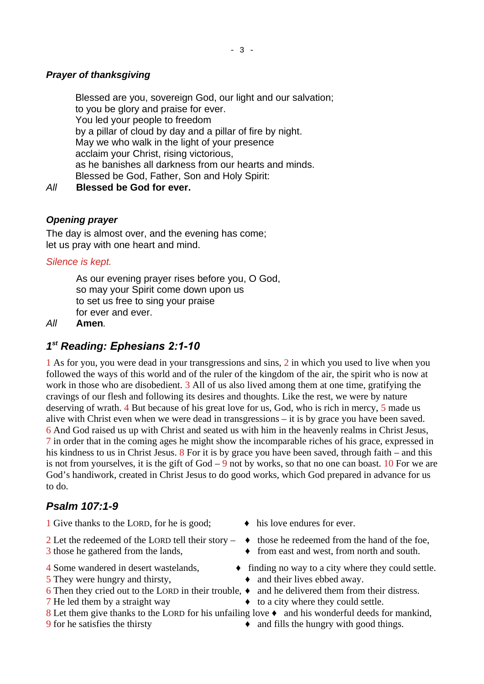## *Prayer of thanksgiving*

Blessed are you, sovereign God, our light and our salvation; to you be glory and praise for ever. You led your people to freedom by a pillar of cloud by day and a pillar of fire by night. May we who walk in the light of your presence acclaim your Christ, rising victorious, as he banishes all darkness from our hearts and minds. Blessed be God, Father, Son and Holy Spirit:

*All* **Blessed be God for ever.**

### *Opening prayer*

The day is almost over, and the evening has come; let us pray with one heart and mind.

#### *Silence is kept.*

As our evening prayer rises before you, O God, so may your Spirit come down upon us to set us free to sing your praise for ever and ever.

*All* **Amen***.*

## <span id="page-2-1"></span>*1 st Reading: Ephesians 2:1-10*

1 As for you, you were dead in your transgressions and sins, 2 in which you used to live when you followed the ways of this world and of the ruler of the kingdom of the air, the spirit who is now at work in those who are disobedient. 3 All of us also lived among them at one time, gratifying the cravings of our flesh and following its desires and thoughts. Like the rest, we were by nature deserving of wrath. 4 But because of his great love for us, God, who is rich in mercy, 5 made us alive with Christ even when we were dead in transgressions – it is by grace you have been saved. 6 And God raised us up with Christ and seated us with him in the heavenly realms in Christ Jesus, 7 in order that in the coming ages he might show the incomparable riches of his grace, expressed in his kindness to us in Christ Jesus. 8 For it is by grace you have been saved, through faith – and this is not from yourselves, it is the gift of  $God - 9$  not by works, so that no one can boast. 10 For we are God's handiwork, created in Christ Jesus to do good works, which God prepared in advance for us to do.

## <span id="page-2-0"></span>*Psalm 107:1-9*

1 Give thanks to the LORD, for he is good;  $\rightarrow$  his love endures for ever.

2 Let the redeemed of the LORD tell their story  $\bullet$  those he redeemed from the hand of the foe,

- 
- 
- 6 Then they cried out to the LORD in their trouble,  $\bullet$  and he delivered them from their distress.
- 7 He led them by a straight way  $\rightarrow$  to a city where they could settle.
- 8 Let them give thanks to the LORD for his unfailing love  $\bullet$  and his wonderful deeds for mankind,
- 
- 
- 
- 3 those he gathered from the lands,  $\bullet$  from east and west, from north and south.
- 4 Some wandered in desert wastelands,  $\qquad \qquad \bullet$  finding no way to a city where they could settle.
- $\overline{5}$  They were hungry and thirsty,  $\overline{6}$  and their lives ebbed away.
	-
	-
	-
- 9 for he satisfies the thirsty  $\bullet$  and fills the hungry with good things.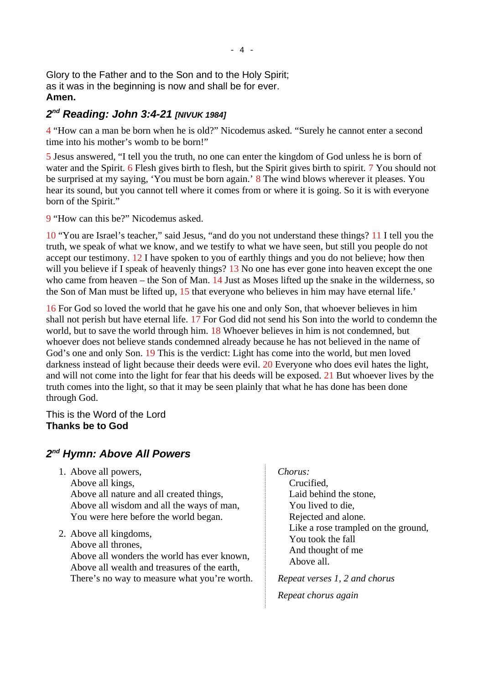Glory to the Father and to the Son and to the Holy Spirit; as it was in the beginning is now and shall be for ever. **Amen.**

## <span id="page-3-1"></span>*2 nd Reading: John 3:4-21 [NIVUK 1984]*

4 "How can a man be born when he is old?" Nicodemus asked. "Surely he cannot enter a second time into his mother's womb to be born!"

5 Jesus answered, "I tell you the truth, no one can enter the kingdom of God unless he is born of water and the Spirit. 6 Flesh gives birth to flesh, but the Spirit gives birth to spirit. 7 You should not be surprised at my saying, 'You must be born again.' 8 The wind blows wherever it pleases. You hear its sound, but you cannot tell where it comes from or where it is going. So it is with everyone born of the Spirit."

9 "How can this be?" Nicodemus asked.

10 "You are Israel's teacher," said Jesus, "and do you not understand these things? 11 I tell you the truth, we speak of what we know, and we testify to what we have seen, but still you people do not accept our testimony. 12 I have spoken to you of earthly things and you do not believe; how then will you believe if I speak of heavenly things? 13 No one has ever gone into heaven except the one who came from heaven – the Son of Man. 14 Just as Moses lifted up the snake in the wilderness, so the Son of Man must be lifted up, 15 that everyone who believes in him may have eternal life.'

16 For God so loved the world that he gave his one and only Son, that whoever believes in him shall not perish but have eternal life. 17 For God did not send his Son into the world to condemn the world, but to save the world through him. 18 Whoever believes in him is not condemned, but whoever does not believe stands condemned already because he has not believed in the name of God's one and only Son. 19 This is the verdict: Light has come into the world, but men loved darkness instead of light because their deeds were evil. 20 Everyone who does evil hates the light, and will not come into the light for fear that his deeds will be exposed. 21 But whoever lives by the truth comes into the light, so that it may be seen plainly that what he has done has been done through God.

This is the Word of the Lord **Thanks be to God**

## <span id="page-3-0"></span>*2 nd Hymn: Above All Powers*

- 1. Above all powers, Above all kings, Above all nature and all created things, Above all wisdom and all the ways of man, You were here before the world began.
- 2. Above all kingdoms,
	- Above all thrones,

Above all wonders the world has ever known, Above all wealth and treasures of the earth, There's no way to measure what you're worth. *Chorus:*

Crucified, Laid behind the stone, You lived to die, Rejected and alone. Like a rose trampled on the ground, You took the fall And thought of me Above all.

*Repeat verses 1, 2 and chorus*

*Repeat chorus again*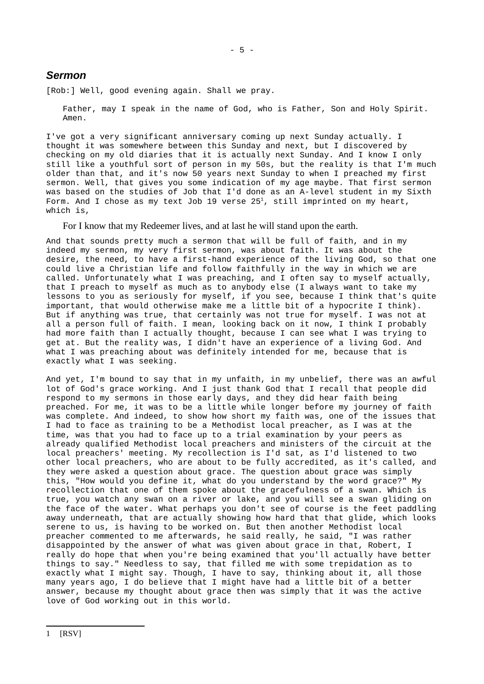#### <span id="page-4-0"></span>*Sermon*

[Rob:] Well, good evening again. Shall we pray.

Father, may I speak in the name of God, who is Father, Son and Holy Spirit. Amen.

I've got a very significant anniversary coming up next Sunday actually. I thought it was somewhere between this Sunday and next, but I discovered by checking on my old diaries that it is actually next Sunday. And I know I only still like a youthful sort of person in my 50s, but the reality is that I'm much older than that, and it's now 50 years next Sunday to when I preached my first sermon. Well, that gives you some indication of my age maybe. That first sermon was based on the studies of Job that I'd done as an A-level student in my Sixth Form. And I chose as my text Job [1](#page-4-1)9 verse  $25<sup>1</sup>$ , still imprinted on my heart, which is,

For I know that my Redeemer lives, and at last he will stand upon the earth.

And that sounds pretty much a sermon that will be full of faith, and in my indeed my sermon, my very first sermon, was about faith. It was about the desire, the need, to have a first-hand experience of the living God, so that one could live a Christian life and follow faithfully in the way in which we are called. Unfortunately what I was preaching, and I often say to myself actually, that I preach to myself as much as to anybody else (I always want to take my lessons to you as seriously for myself, if you see, because I think that's quite important, that would otherwise make me a little bit of a hypocrite I think). But if anything was true, that certainly was not true for myself. I was not at all a person full of faith. I mean, looking back on it now, I think I probably had more faith than I actually thought, because I can see what I was trying to get at. But the reality was, I didn't have an experience of a living God. And what I was preaching about was definitely intended for me, because that is exactly what I was seeking.

<span id="page-4-1"></span>And yet, I'm bound to say that in my unfaith, in my unbelief, there was an awful lot of God's grace working. And I just thank God that I recall that people did respond to my sermons in those early days, and they did hear faith being preached. For me, it was to be a little while longer before my journey of faith was complete. And indeed, to show how short my faith was, one of the issues that I had to face as training to be a Methodist local preacher, as I was at the time, was that you had to face up to a trial examination by your peers as already qualified Methodist local preachers and ministers of the circuit at the local preachers' meeting. My recollection is I'd sat, as I'd listened to two other local preachers, who are about to be fully accredited, as it's called, and they were asked a question about grace. The question about grace was simply this, "How would you define it, what do you understand by the word grace?" My recollection that one of them spoke about the gracefulness of a swan. Which is true, you watch any swan on a river or lake, and you will see a swan gliding on the face of the water. What perhaps you don't see of course is the feet paddling away underneath, that are actually showing how hard that that glide, which looks serene to us, is having to be worked on. But then another Methodist local preacher commented to me afterwards, he said really, he said, "I was rather disappointed by the answer of what was given about grace in that, Robert, I really do hope that when you're being examined that you'll actually have better things to say." Needless to say, that filled me with some trepidation as to exactly what I might say. Though, I have to say, thinking about it, all those many years ago, I do believe that I might have had a little bit of a better answer, because my thought about grace then was simply that it was the active love of God working out in this world.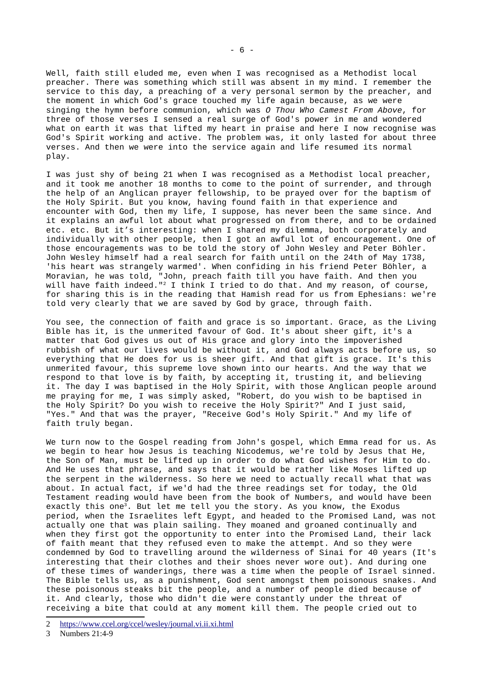Well, faith still eluded me, even when I was recognised as a Methodist local preacher. There was something which still was absent in my mind. I remember the service to this day, a preaching of a very personal sermon by the preacher, and the moment in which God's grace touched my life again because, as we were singing the hymn before communion, which was *O Thou Who Camest From Above*, for three of those verses I sensed a real surge of God's power in me and wondered what on earth it was that lifted my heart in praise and here I now recognise was God's Spirit working and active. The problem was, it only lasted for about three verses. And then we were into the service again and life resumed its normal play.

I was just shy of being 21 when I was recognised as a Methodist local preacher, and it took me another 18 months to come to the point of surrender, and through the help of an Anglican prayer fellowship, to be prayed over for the baptism of the Holy Spirit. But you know, having found faith in that experience and encounter with God, then my life, I suppose, has never been the same since. And it explains an awful lot about what progressed on from there, and to be ordained etc. etc. But it's interesting: when I shared my dilemma, both corporately and individually with other people, then I got an awful lot of encouragement. One of those encouragements was to be told the story of John Wesley and Peter Böhler. John Wesley himself had a real search for faith until on the 24th of May 1738, 'his heart was strangely warmed'. When confiding in his friend Peter Böhler, a Moravian, he was told, "John, preach faith till you have faith. And then you will have faith indeed."<sup>[2](#page-5-0)</sup> I think I tried to do that. And my reason, of course, for sharing this is in the reading that Hamish read for us from Ephesians: we're told very clearly that we are saved by God by grace, through faith.

You see, the connection of faith and grace is so important. Grace, as the Living Bible has it, is the unmerited favour of God. It's about sheer gift, it's a matter that God gives us out of His grace and glory into the impoverished rubbish of what our lives would be without it, and God always acts before us, so everything that He does for us is sheer gift. And that gift is grace. It's this unmerited favour, this supreme love shown into our hearts. And the way that we respond to that love is by faith, by accepting it, trusting it, and believing it. The day I was baptised in the Holy Spirit, with those Anglican people around me praying for me, I was simply asked, "Robert, do you wish to be baptised in the Holy Spirit? Do you wish to receive the Holy Spirit?" And I just said, "Yes." And that was the prayer, "Receive God's Holy Spirit." And my life of faith truly began.

We turn now to the Gospel reading from John's gospel, which Emma read for us. As we begin to hear how Jesus is teaching Nicodemus, we're told by Jesus that He, the Son of Man, must be lifted up in order to do what God wishes for Him to do. And He uses that phrase, and says that it would be rather like Moses lifted up the serpent in the wilderness. So here we need to actually recall what that was about. In actual fact, if we'd had the three readings set for today, the Old Testament reading would have been from the book of Numbers, and would have been exactly this one<sup>[3](#page-5-1)</sup>. But let me tell you the story. As you know, the Exodus period, when the Israelites left Egypt, and headed to the Promised Land, was not actually one that was plain sailing. They moaned and groaned continually and when they first got the opportunity to enter into the Promised Land, their lack of faith meant that they refused even to make the attempt. And so they were condemned by God to travelling around the wilderness of Sinai for 40 years (It's interesting that their clothes and their shoes never wore out). And during one of these times of wanderings, there was a time when the people of Israel sinned. The Bible tells us, as a punishment, God sent amongst them poisonous snakes. And these poisonous steaks bit the people, and a number of people died because of it. And clearly, those who didn't die were constantly under the threat of receiving a bite that could at any moment kill them. The people cried out to

<span id="page-5-0"></span><sup>2</sup><https://www.ccel.org/ccel/wesley/journal.vi.ii.xi.html>

<span id="page-5-1"></span><sup>3</sup> Numbers 21:4-9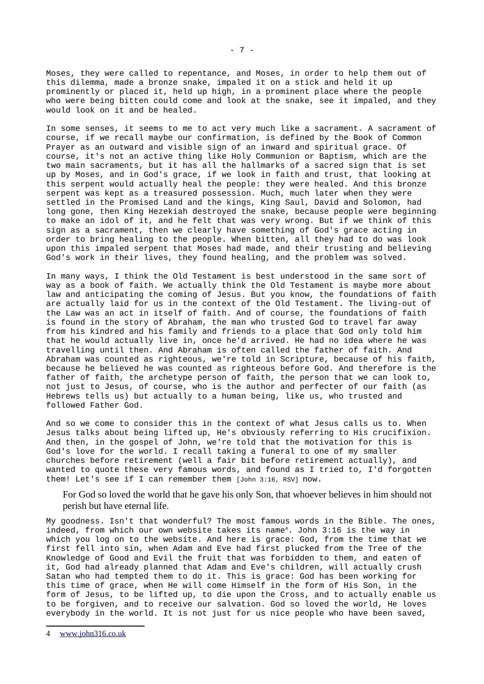Moses, they were called to repentance, and Moses, in order to help them out of this dilemma, made a bronze snake, impaled it on a stick and held it up prominently or placed it, held up high, in a prominent place where the people who were being bitten could come and look at the snake, see it impaled, and they would look on it and be healed.

In some senses, it seems to me to act very much like a sacrament. A sacrament of course, if we recall maybe our confirmation, is defined by the Book of Common Prayer as an outward and visible sign of an inward and spiritual grace. Of course, it's not an active thing like Holy Communion or Baptism, which are the two main sacraments, but it has all the hallmarks of a sacred sign that is set up by Moses, and in God's grace, if we look in faith and trust, that looking at this serpent would actually heal the people: they were healed. And this bronze serpent was kept as a treasured possession. Much, much later when they were settled in the Promised Land and the kings, King Saul, David and Solomon, had long gone, then King Hezekiah destroyed the snake, because people were beginning to make an idol of it, and he felt that was very wrong. But if we think of this sign as a sacrament, then we clearly have something of God's grace acting in order to bring healing to the people. When bitten, all they had to do was look upon this impaled serpent that Moses had made, and their trusting and believing God's work in their lives, they found healing, and the problem was solved.

In many ways, I think the Old Testament is best understood in the same sort of way as a book of faith. We actually think the Old Testament is maybe more about law and anticipating the coming of Jesus. But you know, the foundations of faith are actually laid for us in the context of the Old Testament. The living-out of the Law was an act in itself of faith. And of course, the foundations of faith is found in the story of Abraham, the man who trusted God to travel far away from his kindred and his family and friends to a place that God only told him that he would actually live in, once he'd arrived. He had no idea where he was travelling until then. And Abraham is often called the father of faith. And Abraham was counted as righteous, we're told in Scripture, because of his faith, because he believed he was counted as righteous before God. And therefore is the father of faith, the archetype person of faith, the person that we can look to, not just to Jesus, of course, who is the author and perfecter of our faith (as Hebrews tells us) but actually to a human being, like us, who trusted and followed Father God.

And so we come to consider this in the context of what Jesus calls us to. When Jesus talks about being lifted up, He's obviously referring to His crucifixion. And then, in the gospel of John, we're told that the motivation for this is God's love for the world. I recall taking a funeral to one of my smaller churches before retirement (well a fair bit before retirement actually), and wanted to quote these very famous words, and found as I tried to, I'd forgotten them! Let's see if I can remember them [John 3:16, RSV] now.

For God so loved the world that he gave his only Son, that whoever believes in him should not perish but have eternal life.

My goodness. Isn't that wonderful? The most famous words in the Bible. The ones, indeed, from which our own website takes its name[4](#page-6-0). John 3:16 is the way in which you log on to the website. And here is grace: God, from the time that we first fell into sin, when Adam and Eve had first plucked from the Tree of the Knowledge of Good and Evil the fruit that was forbidden to them, and eaten of it, God had already planned that Adam and Eve's children, will actually crush Satan who had tempted them to do it. This is grace: God has been working for this time of grace, when He will come Himself in the form of His Son, in the form of Jesus, to be lifted up, to die upon the Cross, and to actually enable us to be forgiven, and to receive our salvation. God so loved the world, He loves everybody in the world. It is not just for us nice people who have been saved,

<span id="page-6-0"></span><sup>4</sup> [www.john316.co.uk](https://www.john316.co.uk/)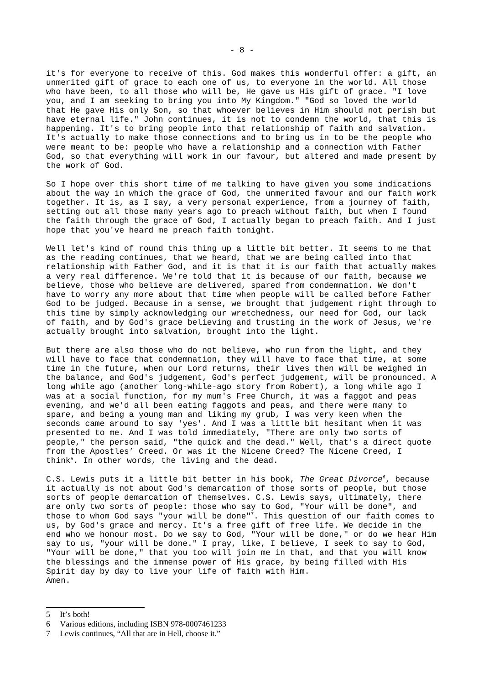it's for everyone to receive of this. God makes this wonderful offer: a gift, an unmerited gift of grace to each one of us, to everyone in the world. All those who have been, to all those who will be, He gave us His gift of grace. "I love you, and I am seeking to bring you into My Kingdom." "God so loved the world that He gave His only Son, so that whoever believes in Him should not perish but have eternal life." John continues, it is not to condemn the world, that this is happening. It's to bring people into that relationship of faith and salvation. It's actually to make those connections and to bring us in to be the people who were meant to be: people who have a relationship and a connection with Father God, so that everything will work in our favour, but altered and made present by the work of God.

So I hope over this short time of me talking to have given you some indications about the way in which the grace of God, the unmerited favour and our faith work together. It is, as I say, a very personal experience, from a journey of faith, setting out all those many years ago to preach without faith, but when I found the faith through the grace of God, I actually began to preach faith. And I just hope that you've heard me preach faith tonight.

Well let's kind of round this thing up a little bit better. It seems to me that as the reading continues, that we heard, that we are being called into that relationship with Father God, and it is that it is our faith that actually makes a very real difference. We're told that it is because of our faith, because we believe, those who believe are delivered, spared from condemnation. We don't have to worry any more about that time when people will be called before Father God to be judged. Because in a sense, we brought that judgement right through to this time by simply acknowledging our wretchedness, our need for God, our lack of faith, and by God's grace believing and trusting in the work of Jesus, we're actually brought into salvation, brought into the light.

But there are also those who do not believe, who run from the light, and they will have to face that condemnation, they will have to face that time, at some time in the future, when our Lord returns, their lives then will be weighed in the balance, and God's judgement, God's perfect judgement, will be pronounced. A long while ago (another long-while-ago story from Robert), a long while ago I was at a social function, for my mum's Free Church, it was a faggot and peas evening, and we'd all been eating faggots and peas, and there were many to spare, and being a young man and liking my grub, I was very keen when the seconds came around to say 'yes'. And I was a little bit hesitant when it was presented to me. And I was told immediately, "There are only two sorts of people," the person said, "the quick and the dead." Well, that's a direct quote from the Apostles' Creed. Or was it the Nicene Creed? The Nicene Creed, I think[5](#page-7-0). In other words, the living and the dead.

C.S. Lewis puts it a little bit better in his book, *The Great Divorce[6](#page-7-1)*, because it actually is not about God's demarcation of those sorts of people, but those sorts of people demarcation of themselves. C.S. Lewis says, ultimately, there are only two sorts of people: those who say to God, "Your will be done", and those to whom God says "your will be done"[7](#page-7-2). This question of our faith comes to us, by God's grace and mercy. It's a free gift of free life. We decide in the end who we honour most. Do we say to God, "Your will be done," or do we hear Him say to us, "your will be done." I pray, like, I believe, I seek to say to God, "Your will be done," that you too will join me in that, and that you will know the blessings and the immense power of His grace, by being filled with His Spirit day by day to live your life of faith with Him. Amen.

<span id="page-7-0"></span><sup>5</sup> It's both!

<span id="page-7-1"></span><sup>6</sup> Various editions, including ISBN 978-0007461233

<span id="page-7-2"></span><sup>7</sup> Lewis continues, "All that are in Hell, choose it."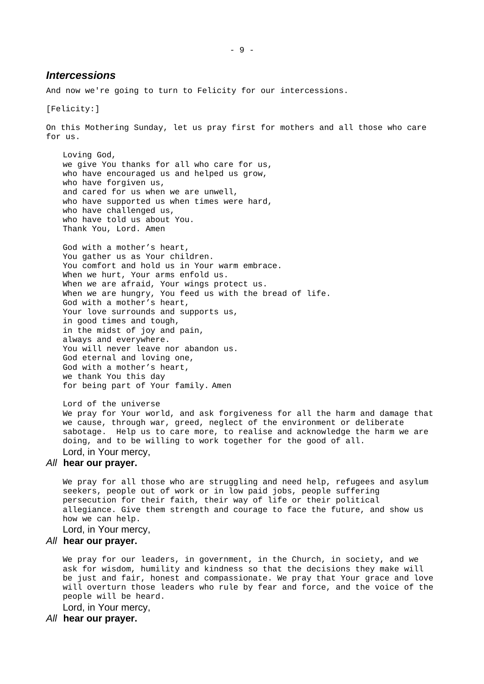#### <span id="page-8-0"></span>*Intercessions*

And now we're going to turn to Felicity for our intercessions.

[Felicity:]

On this Mothering Sunday, let us pray first for mothers and all those who care for us.

Loving God, we give You thanks for all who care for us, who have encouraged us and helped us grow, who have forgiven us, and cared for us when we are unwell, who have supported us when times were hard, who have challenged us, who have told us about You. Thank You, Lord. Amen

God with a mother's heart, You gather us as Your children. You comfort and hold us in Your warm embrace. When we hurt, Your arms enfold us. When we are afraid, Your wings protect us. When we are hungry, You feed us with the bread of life. God with a mother's heart, Your love surrounds and supports us, in good times and tough, in the midst of joy and pain, always and everywhere. You will never leave nor abandon us. God eternal and loving one, God with a mother's heart, we thank You this day for being part of Your family. Amen

Lord of the universe We pray for Your world, and ask forgiveness for all the harm and damage that we cause, through war, greed, neglect of the environment or deliberate sabotage. Help us to care more, to realise and acknowledge the harm we are doing, and to be willing to work together for the good of all. Lord, in Your mercy,

#### *All* **hear our prayer.**

We pray for all those who are struggling and need help, refugees and asylum seekers, people out of work or in low paid jobs, people suffering persecution for their faith, their way of life or their political allegiance. Give them strength and courage to face the future, and show us how we can help.

Lord, in Your mercy,

#### *All* **hear our prayer.**

We pray for our leaders, in government, in the Church, in society, and we ask for wisdom, humility and kindness so that the decisions they make will be just and fair, honest and compassionate. We pray that Your grace and love will overturn those leaders who rule by fear and force, and the voice of the people will be heard.

Lord, in Your mercy,

*All* **hear our prayer.**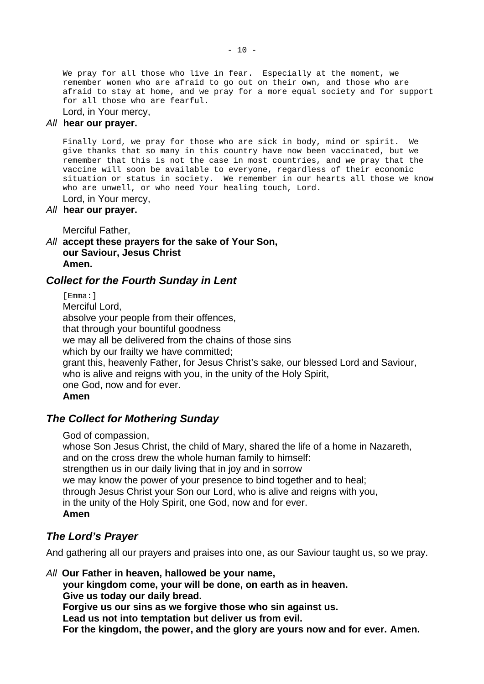We pray for all those who live in fear. Especially at the moment, we remember women who are afraid to go out on their own, and those who are afraid to stay at home, and we pray for a more equal society and for support for all those who are fearful.

# Lord, in Your mercy,

*All* **hear our prayer.**

Finally Lord, we pray for those who are sick in body, mind or spirit. We give thanks that so many in this country have now been vaccinated, but we remember that this is not the case in most countries, and we pray that the vaccine will soon be available to everyone, regardless of their economic situation or status in society. We remember in our hearts all those we know who are unwell, or who need Your healing touch, Lord. Lord, in Your mercy,

*All* **hear our prayer.**

Merciful Father,

*All* **accept these prayers for the sake of Your Son, our Saviour, Jesus Christ Amen.**

### <span id="page-9-2"></span>*Collect for the Fourth Sunday in Lent*

[Emma:] Merciful Lord, absolve your people from their offences, that through your bountiful goodness we may all be delivered from the chains of those sins which by our frailty we have committed; grant this, heavenly Father, for Jesus Christ's sake, our blessed Lord and Saviour, who is alive and reigns with you, in the unity of the Holy Spirit, one God, now and for ever. **Amen**

## <span id="page-9-1"></span>*The Collect for Mothering Sunday*

God of compassion,

whose Son Jesus Christ, the child of Mary, shared the life of a home in Nazareth, and on the cross drew the whole human family to himself: strengthen us in our daily living that in joy and in sorrow we may know the power of your presence to bind together and to heal; through Jesus Christ your Son our Lord, who is alive and reigns with you, in the unity of the Holy Spirit, one God, now and for ever. **Amen**

## <span id="page-9-0"></span>*The Lord's Prayer*

And gathering all our prayers and praises into one, as our Saviour taught us, so we pray.

*All* **Our Father in heaven, hallowed be your name, your kingdom come, your will be done, on earth as in heaven. Give us today our daily bread. Forgive us our sins as we forgive those who sin against us. Lead us not into temptation but deliver us from evil. For the kingdom, the power, and the glory are yours now and for ever. Amen.**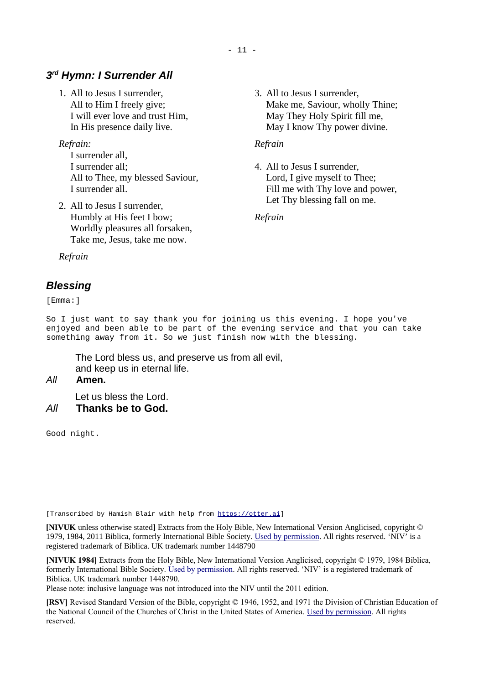## <span id="page-10-1"></span>*3 rd Hymn: I Surrender All*

1. All to Jesus I surrender, All to Him I freely give; I will ever love and trust Him, In His presence daily live.

*Refrain:*

I surrender all, I surrender all; All to Thee, my blessed Saviour, I surrender all.

2. All to Jesus I surrender, Humbly at His feet I bow; Worldly pleasures all forsaken, Take me, Jesus, take me now.

*Refrain*

## <span id="page-10-0"></span>*Blessing*

[Emma:]

So I just want to say thank you for joining us this evening. I hope you've enjoyed and been able to be part of the evening service and that you can take something away from it. So we just finish now with the blessing.

The Lord bless us, and preserve us from all evil, and keep us in eternal life.

### *All* **Amen.**

Let us bless the Lord.

*All* **Thanks be to God.**

Good night.

[Transcribed by Hamish Blair with help from [https://otter.ai\]](https://otter.ai/)

**[NIVUK** unless otherwise stated**]** Extracts from the Holy Bible, New International Version Anglicised, copyright © 1979, 1984, 2011 Biblica, formerly International Bible Society. [Used by permission.](https://www.biblica.com/terms-of-use/) All rights reserved. 'NIV' is a registered trademark of Biblica. UK trademark number 1448790

**[NIVUK 1984]** Extracts from the Holy Bible, New International Version Anglicised, copyright © 1979, 1984 Biblica, formerly International Bible Society. [Used by permission](https://www.biblica.com/terms-of-use/). All rights reserved. 'NIV' is a registered trademark of Biblica. UK trademark number 1448790.

Please note: inclusive language was not introduced into the NIV until the 2011 edition.

**[RSV]** Revised Standard Version of the Bible, copyright © 1946, 1952, and 1971 the Division of Christian Education of the National Council of the Churches of Christ in the United States of America. [Used by permission](https://nrsvbibles.org/index.php/licensing/). All rights reserved.

3. All to Jesus I surrender, Make me, Saviour, wholly Thine; May They Holy Spirit fill me, May I know Thy power divine.

#### *Refrain*

4. All to Jesus I surrender, Lord, I give myself to Thee; Fill me with Thy love and power, Let Thy blessing fall on me.

*Refrain*